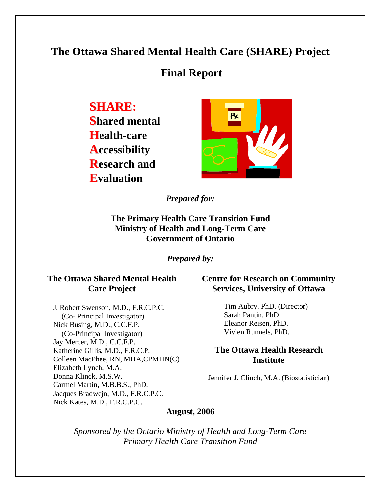# **The Ottawa Shared Mental Health Care (SHARE) Project**

# **Final Report**

**SHARE:** 

**Shared mental Health-care Accessibility Research and Evaluation** 



*Prepared for:* 

**The Primary Health Care Transition Fund Ministry of Health and Long-Term Care Government of Ontario** 

*Prepared by:* 

## **The Ottawa Shared Mental Health Care Project**

J. Robert Swenson, M.D., F.R.C.P.C. (Co- Principal Investigator) Nick Busing, M.D., C.C.F.P. (Co-Principal Investigator) Jay Mercer, M.D., C.C.F.P. Katherine Gillis, M.D., F.R.C.P. Colleen MacPhee, RN, MHA,CPMHN(C) Elizabeth Lynch, M.A. Donna Klinck, M.S.W. Carmel Martin, M.B.B.S., PhD. Jacques Bradwejn, M.D., F.R.C.P.C. Nick Kates, M.D., F.R.C.P.C.

### **Centre for Research on Community Services, University of Ottawa**

Tim Aubry, PhD. (Director) Sarah Pantin, PhD. Eleanor Reisen, PhD. Vivien Runnels, PhD.

### **The Ottawa Health Research Institute**

Jennifer J. Clinch, M.A. (Biostatistician)

### **August, 2006**

*Sponsored by the Ontario Ministry of Health and Long-Term Care Primary Health Care Transition Fund*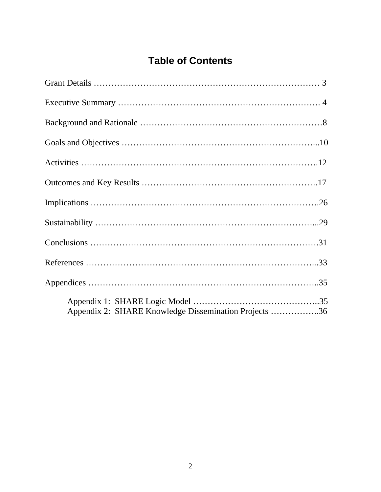# **Table of Contents**

| Appendix 2: SHARE Knowledge Dissemination Projects 36 |  |
|-------------------------------------------------------|--|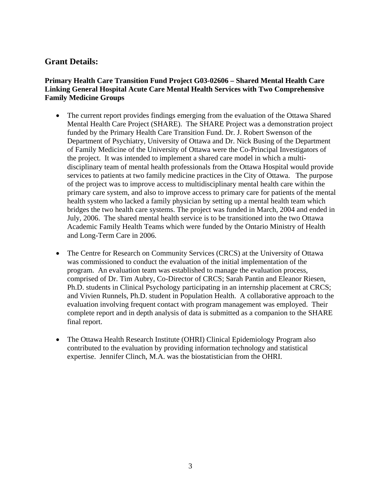### **Grant Details:**

#### **Primary Health Care Transition Fund Project G03-02606 – Shared Mental Health Care Linking General Hospital Acute Care Mental Health Services with Two Comprehensive Family Medicine Groups**

- The current report provides findings emerging from the evaluation of the Ottawa Shared Mental Health Care Project (SHARE). The SHARE Project was a demonstration project funded by the Primary Health Care Transition Fund. Dr. J. Robert Swenson of the Department of Psychiatry, University of Ottawa and Dr. Nick Busing of the Department of Family Medicine of the University of Ottawa were the Co-Principal Investigators of the project. It was intended to implement a shared care model in which a multidisciplinary team of mental health professionals from the Ottawa Hospital would provide services to patients at two family medicine practices in the City of Ottawa. The purpose of the project was to improve access to multidisciplinary mental health care within the primary care system, and also to improve access to primary care for patients of the mental health system who lacked a family physician by setting up a mental health team which bridges the two health care systems. The project was funded in March, 2004 and ended in July, 2006. The shared mental health service is to be transitioned into the two Ottawa Academic Family Health Teams which were funded by the Ontario Ministry of Health and Long-Term Care in 2006.
- The Centre for Research on Community Services (CRCS) at the University of Ottawa was commissioned to conduct the evaluation of the initial implementation of the program. An evaluation team was established to manage the evaluation process, comprised of Dr. Tim Aubry, Co-Director of CRCS; Sarah Pantin and Eleanor Riesen, Ph.D. students in Clinical Psychology participating in an internship placement at CRCS; and Vivien Runnels, Ph.D. student in Population Health. A collaborative approach to the evaluation involving frequent contact with program management was employed. Their complete report and in depth analysis of data is submitted as a companion to the SHARE final report.
- The Ottawa Health Research Institute (OHRI) Clinical Epidemiology Program also contributed to the evaluation by providing information technology and statistical expertise. Jennifer Clinch, M.A. was the biostatistician from the OHRI.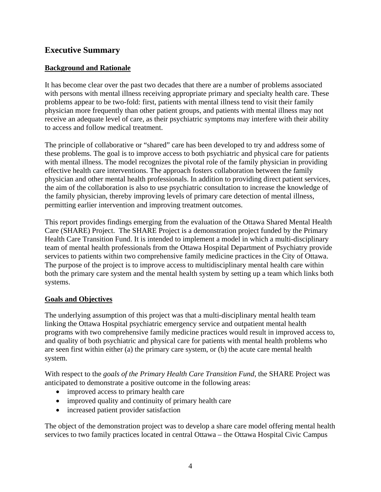### **Executive Summary**

#### **Background and Rationale**

It has become clear over the past two decades that there are a number of problems associated with persons with mental illness receiving appropriate primary and specialty health care. These problems appear to be two-fold: first, patients with mental illness tend to visit their family physician more frequently than other patient groups, and patients with mental illness may not receive an adequate level of care, as their psychiatric symptoms may interfere with their ability to access and follow medical treatment.

The principle of collaborative or "shared" care has been developed to try and address some of these problems. The goal is to improve access to both psychiatric and physical care for patients with mental illness. The model recognizes the pivotal role of the family physician in providing effective health care interventions. The approach fosters collaboration between the family physician and other mental health professionals. In addition to providing direct patient services, the aim of the collaboration is also to use psychiatric consultation to increase the knowledge of the family physician, thereby improving levels of primary care detection of mental illness, permitting earlier intervention and improving treatment outcomes.

This report provides findings emerging from the evaluation of the Ottawa Shared Mental Health Care (SHARE) Project. The SHARE Project is a demonstration project funded by the Primary Health Care Transition Fund. It is intended to implement a model in which a multi-disciplinary team of mental health professionals from the Ottawa Hospital Department of Psychiatry provide services to patients within two comprehensive family medicine practices in the City of Ottawa. The purpose of the project is to improve access to multidisciplinary mental health care within both the primary care system and the mental health system by setting up a team which links both systems.

#### **Goals and Objectives**

The underlying assumption of this project was that a multi-disciplinary mental health team linking the Ottawa Hospital psychiatric emergency service and outpatient mental health programs with two comprehensive family medicine practices would result in improved access to, and quality of both psychiatric and physical care for patients with mental health problems who are seen first within either (a) the primary care system, or (b) the acute care mental health system.

With respect to the *goals of the Primary Health Care Transition Fund*, the SHARE Project was anticipated to demonstrate a positive outcome in the following areas:

- improved access to primary health care
- improved quality and continuity of primary health care
- increased patient provider satisfaction

The object of the demonstration project was to develop a share care model offering mental health services to two family practices located in central Ottawa – the Ottawa Hospital Civic Campus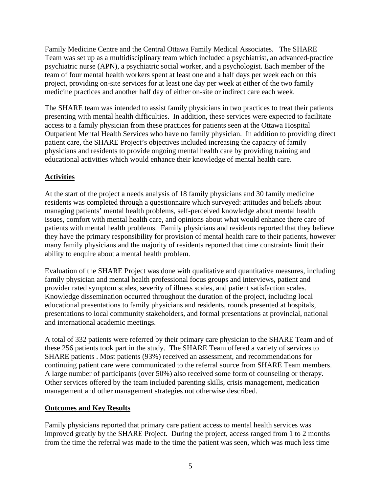Family Medicine Centre and the Central Ottawa Family Medical Associates. The SHARE Team was set up as a multidisciplinary team which included a psychiatrist, an advanced-practice psychiatric nurse (APN), a psychiatric social worker, and a psychologist. Each member of the team of four mental health workers spent at least one and a half days per week each on this project, providing on-site services for at least one day per week at either of the two family medicine practices and another half day of either on-site or indirect care each week.

The SHARE team was intended to assist family physicians in two practices to treat their patients presenting with mental health difficulties. In addition, these services were expected to facilitate access to a family physician from these practices for patients seen at the Ottawa Hospital Outpatient Mental Health Services who have no family physician. In addition to providing direct patient care, the SHARE Project's objectives included increasing the capacity of family physicians and residents to provide ongoing mental health care by providing training and educational activities which would enhance their knowledge of mental health care.

### **Activities**

At the start of the project a needs analysis of 18 family physicians and 30 family medicine residents was completed through a questionnaire which surveyed: attitudes and beliefs about managing patients' mental health problems, self-perceived knowledge about mental health issues, comfort with mental health care, and opinions about what would enhance there care of patients with mental health problems. Family physicians and residents reported that they believe they have the primary responsibility for provision of mental health care to their patients, however many family physicians and the majority of residents reported that time constraints limit their ability to enquire about a mental health problem.

Evaluation of the SHARE Project was done with qualitative and quantitative measures, including family physician and mental health professional focus groups and interviews, patient and provider rated symptom scales, severity of illness scales, and patient satisfaction scales. Knowledge dissemination occurred throughout the duration of the project, including local educational presentations to family physicians and residents, rounds presented at hospitals, presentations to local community stakeholders, and formal presentations at provincial, national and international academic meetings.

A total of 332 patients were referred by their primary care physician to the SHARE Team and of these 256 patients took part in the study. The SHARE Team offered a variety of services to SHARE patients . Most patients (93%) received an assessment, and recommendations for continuing patient care were communicated to the referral source from SHARE Team members. A large number of participants (over 50%) also received some form of counseling or therapy. Other services offered by the team included parenting skills, crisis management, medication management and other management strategies not otherwise described.

### **Outcomes and Key Results**

Family physicians reported that primary care patient access to mental health services was improved greatly by the SHARE Project. During the project, access ranged from 1 to 2 months from the time the referral was made to the time the patient was seen, which was much less time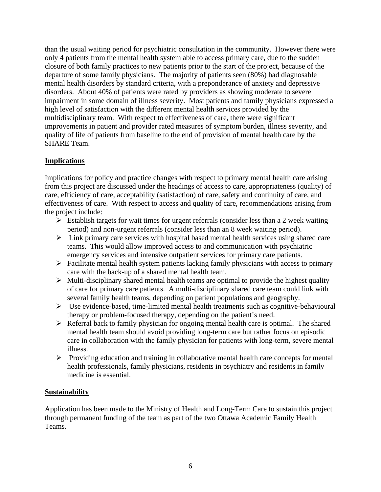than the usual waiting period for psychiatric consultation in the community. However there were only 4 patients from the mental health system able to access primary care, due to the sudden closure of both family practices to new patients prior to the start of the project, because of the departure of some family physicians. The majority of patients seen (80%) had diagnosable mental health disorders by standard criteria, with a preponderance of anxiety and depressive disorders. About 40% of patients were rated by providers as showing moderate to severe impairment in some domain of illness severity. Most patients and family physicians expressed a high level of satisfaction with the different mental health services provided by the multidisciplinary team. With respect to effectiveness of care, there were significant improvements in patient and provider rated measures of symptom burden, illness severity, and quality of life of patients from baseline to the end of provision of mental health care by the SHARE Team.

### **Implications**

Implications for policy and practice changes with respect to primary mental health care arising from this project are discussed under the headings of access to care, appropriateness (quality) of care, efficiency of care, acceptability (satisfaction) of care, safety and continuity of care, and effectiveness of care. With respect to access and quality of care, recommendations arising from the project include:

- $\triangleright$  Establish targets for wait times for urgent referrals (consider less than a 2 week waiting period) and non-urgent referrals (consider less than an 8 week waiting period).
- $\triangleright$  Link primary care services with hospital based mental health services using shared care teams. This would allow improved access to and communication with psychiatric emergency services and intensive outpatient services for primary care patients.
- $\triangleright$  Facilitate mental health system patients lacking family physicians with access to primary care with the back-up of a shared mental health team.
- $\triangleright$  Multi-disciplinary shared mental health teams are optimal to provide the highest quality of care for primary care patients. A multi-disciplinary shared care team could link with several family health teams, depending on patient populations and geography.
- $\triangleright$  Use evidence-based, time-limited mental health treatments such as cognitive-behavioural therapy or problem-focused therapy, depending on the patient's need.
- $\triangleright$  Referral back to family physician for ongoing mental health care is optimal. The shared mental health team should avoid providing long-term care but rather focus on episodic care in collaboration with the family physician for patients with long-term, severe mental illness.
- ¾ Providing education and training in collaborative mental health care concepts for mental health professionals, family physicians, residents in psychiatry and residents in family medicine is essential.

#### **Sustainability**

Application has been made to the Ministry of Health and Long-Term Care to sustain this project through permanent funding of the team as part of the two Ottawa Academic Family Health Teams.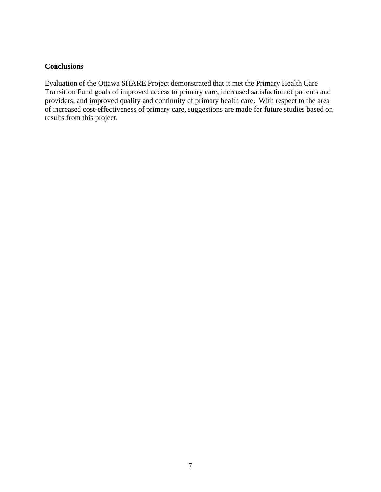### **Conclusions**

Evaluation of the Ottawa SHARE Project demonstrated that it met the Primary Health Care Transition Fund goals of improved access to primary care, increased satisfaction of patients and providers, and improved quality and continuity of primary health care. With respect to the area of increased cost-effectiveness of primary care, suggestions are made for future studies based on results from this project.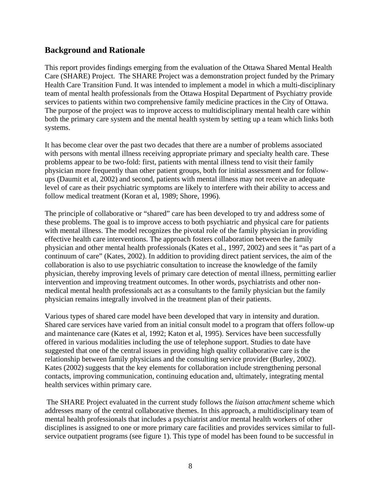### **Background and Rationale**

This report provides findings emerging from the evaluation of the Ottawa Shared Mental Health Care (SHARE) Project. The SHARE Project was a demonstration project funded by the Primary Health Care Transition Fund. It was intended to implement a model in which a multi-disciplinary team of mental health professionals from the Ottawa Hospital Department of Psychiatry provide services to patients within two comprehensive family medicine practices in the City of Ottawa. The purpose of the project was to improve access to multidisciplinary mental health care within both the primary care system and the mental health system by setting up a team which links both systems.

It has become clear over the past two decades that there are a number of problems associated with persons with mental illness receiving appropriate primary and specialty health care. These problems appear to be two-fold: first, patients with mental illness tend to visit their family physician more frequently than other patient groups, both for initial assessment and for followups (Daumit et al, 2002) and second, patients with mental illness may not receive an adequate level of care as their psychiatric symptoms are likely to interfere with their ability to access and follow medical treatment (Koran et al, 1989; Shore, 1996).

The principle of collaborative or "shared" care has been developed to try and address some of these problems. The goal is to improve access to both psychiatric and physical care for patients with mental illness. The model recognizes the pivotal role of the family physician in providing effective health care interventions. The approach fosters collaboration between the family physician and other mental health professionals (Kates et al., 1997, 2002) and sees it "as part of a continuum of care" (Kates, 2002). In addition to providing direct patient services, the aim of the collaboration is also to use psychiatric consultation to increase the knowledge of the family physician, thereby improving levels of primary care detection of mental illness, permitting earlier intervention and improving treatment outcomes. In other words, psychiatrists and other nonmedical mental health professionals act as a consultants to the family physician but the family physician remains integrally involved in the treatment plan of their patients.

Various types of shared care model have been developed that vary in intensity and duration. Shared care services have varied from an initial consult model to a program that offers follow-up and maintenance care (Kates et al, 1992; Katon et al, 1995). Services have been successfully offered in various modalities including the use of telephone support. Studies to date have suggested that one of the central issues in providing high quality collaborative care is the relationship between family physicians and the consulting service provider (Burley, 2002). Kates (2002) suggests that the key elements for collaboration include strengthening personal contacts, improving communication, continuing education and, ultimately, integrating mental health services within primary care.

 The SHARE Project evaluated in the current study follows the *liaison attachment* scheme which addresses many of the central collaborative themes. In this approach, a multidisciplinary team of mental health professionals that includes a psychiatrist and/or mental health workers of other disciplines is assigned to one or more primary care facilities and provides services similar to fullservice outpatient programs (see figure 1). This type of model has been found to be successful in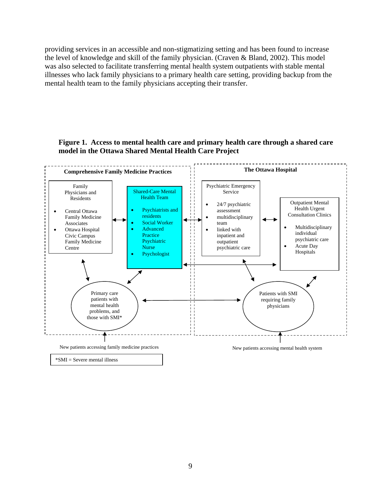providing services in an accessible and non-stigmatizing setting and has been found to increase the level of knowledge and skill of the family physician. (Craven & Bland, 2002). This model was also selected to facilitate transferring mental health system outpatients with stable mental illnesses who lack family physicians to a primary health care setting, providing backup from the mental health team to the family physicians accepting their transfer.

#### **Figure 1. Access to mental health care and primary health care through a shared care model in the Ottawa Shared Mental Health Care Project**

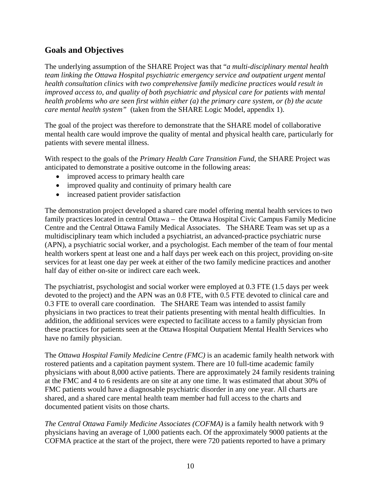# **Goals and Objectives**

The underlying assumption of the SHARE Project was that "*a multi-disciplinary mental health team linking the Ottawa Hospital psychiatric emergency service and outpatient urgent mental health consultation clinics with two comprehensive family medicine practices would result in improved access to, and quality of both psychiatric and physical care for patients with mental health problems who are seen first within either (a) the primary care system, or (b) the acute care mental health system"* (taken from the SHARE Logic Model, appendix 1).

The goal of the project was therefore to demonstrate that the SHARE model of collaborative mental health care would improve the quality of mental and physical health care, particularly for patients with severe mental illness.

With respect to the goals of the *Primary Health Care Transition Fund*, the SHARE Project was anticipated to demonstrate a positive outcome in the following areas:

- improved access to primary health care
- improved quality and continuity of primary health care
- increased patient provider satisfaction

The demonstration project developed a shared care model offering mental health services to two family practices located in central Ottawa – the Ottawa Hospital Civic Campus Family Medicine Centre and the Central Ottawa Family Medical Associates. The SHARE Team was set up as a multidisciplinary team which included a psychiatrist, an advanced-practice psychiatric nurse (APN), a psychiatric social worker, and a psychologist. Each member of the team of four mental health workers spent at least one and a half days per week each on this project, providing on-site services for at least one day per week at either of the two family medicine practices and another half day of either on-site or indirect care each week.

The psychiatrist, psychologist and social worker were employed at 0.3 FTE (1.5 days per week devoted to the project) and the APN was an 0.8 FTE, with 0.5 FTE devoted to clinical care and 0.3 FTE to overall care coordination. The SHARE Team was intended to assist family physicians in two practices to treat their patients presenting with mental health difficulties. In addition, the additional services were expected to facilitate access to a family physician from these practices for patients seen at the Ottawa Hospital Outpatient Mental Health Services who have no family physician.

The *Ottawa Hospital Family Medicine Centre (FMC)* is an academic family health network with rostered patients and a capitation payment system. There are 10 full-time academic family physicians with about 8,000 active patients. There are approximately 24 family residents training at the FMC and 4 to 6 residents are on site at any one time. It was estimated that about 30% of FMC patients would have a diagnosable psychiatric disorder in any one year. All charts are shared, and a shared care mental health team member had full access to the charts and documented patient visits on those charts.

*The Central Ottawa Family Medicine Associates (COFMA)* is a family health network with 9 physicians having an average of 1,000 patients each. Of the approximately 9000 patients at the COFMA practice at the start of the project, there were 720 patients reported to have a primary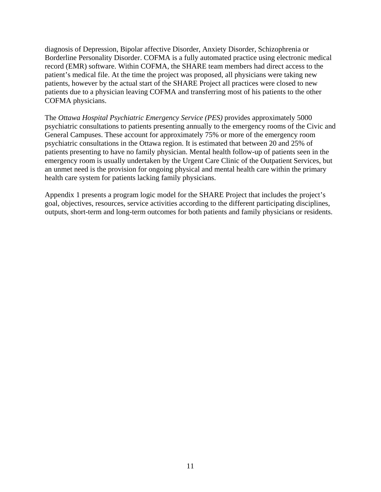diagnosis of Depression, Bipolar affective Disorder, Anxiety Disorder, Schizophrenia or Borderline Personality Disorder. COFMA is a fully automated practice using electronic medical record (EMR) software. Within COFMA, the SHARE team members had direct access to the patient's medical file. At the time the project was proposed, all physicians were taking new patients, however by the actual start of the SHARE Project all practices were closed to new patients due to a physician leaving COFMA and transferring most of his patients to the other COFMA physicians.

The *Ottawa Hospital Psychiatric Emergency Service (PES)* provides approximately 5000 psychiatric consultations to patients presenting annually to the emergency rooms of the Civic and General Campuses. These account for approximately 75% or more of the emergency room psychiatric consultations in the Ottawa region. It is estimated that between 20 and 25% of patients presenting to have no family physician. Mental health follow-up of patients seen in the emergency room is usually undertaken by the Urgent Care Clinic of the Outpatient Services, but an unmet need is the provision for ongoing physical and mental health care within the primary health care system for patients lacking family physicians.

Appendix 1 presents a program logic model for the SHARE Project that includes the project's goal, objectives, resources, service activities according to the different participating disciplines, outputs, short-term and long-term outcomes for both patients and family physicians or residents.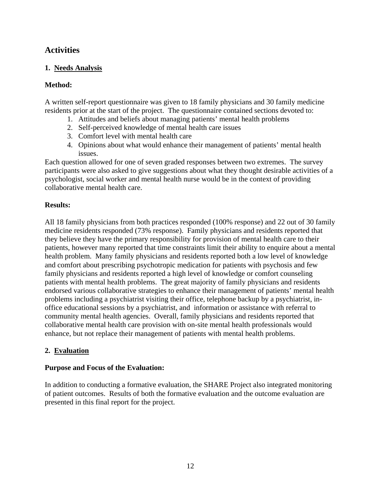# **Activities**

### **1. Needs Analysis**

### **Method:**

A written self-report questionnaire was given to 18 family physicians and 30 family medicine residents prior at the start of the project. The questionnaire contained sections devoted to:

- 1. Attitudes and beliefs about managing patients' mental health problems
- 2. Self-perceived knowledge of mental health care issues
- 3. Comfort level with mental health care
- 4. Opinions about what would enhance their management of patients' mental health issues.

Each question allowed for one of seven graded responses between two extremes. The survey participants were also asked to give suggestions about what they thought desirable activities of a psychologist, social worker and mental health nurse would be in the context of providing collaborative mental health care.

#### **Results:**

All 18 family physicians from both practices responded (100% response) and 22 out of 30 family medicine residents responded (73% response). Family physicians and residents reported that they believe they have the primary responsibility for provision of mental health care to their patients, however many reported that time constraints limit their ability to enquire about a mental health problem. Many family physicians and residents reported both a low level of knowledge and comfort about prescribing psychotropic medication for patients with psychosis and few family physicians and residents reported a high level of knowledge or comfort counseling patients with mental health problems. The great majority of family physicians and residents endorsed various collaborative strategies to enhance their management of patients' mental health problems including a psychiatrist visiting their office, telephone backup by a psychiatrist, inoffice educational sessions by a psychiatrist, and information or assistance with referral to community mental health agencies. Overall, family physicians and residents reported that collaborative mental health care provision with on-site mental health professionals would enhance, but not replace their management of patients with mental health problems.

### **2. Evaluation**

#### **Purpose and Focus of the Evaluation:**

In addition to conducting a formative evaluation, the SHARE Project also integrated monitoring of patient outcomes. Results of both the formative evaluation and the outcome evaluation are presented in this final report for the project.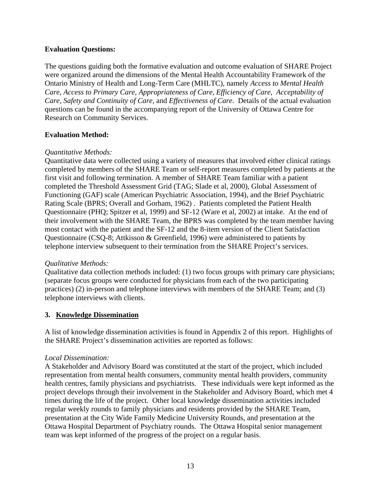#### **Evaluation Questions:**

The questions guiding both the formative evaluation and outcome evaluation of SHARE Project were organized around the dimensions of the Mental Health Accountability Framework of the Ontario Ministry of Health and Long-Term Care (MHLTC), namely *Access to Mental Health Care, Access to Primary Care, Appropriateness of Care, Efficiency of Care, Acceptability of Care, Safety and Continuity of Care,* and *Effectiveness of Care.* Details of the actual evaluation questions can be found in the accompanying report of the University of Ottawa Centre for Research on Community Services.

#### **Evaluation Method:**

#### *Quantitative Methods:*

Quantitative data were collected using a variety of measures that involved either clinical ratings completed by members of the SHARE Team or self-report measures completed by patients at the first visit and following termination. A member of SHARE Team familiar with a patient completed the Threshold Assessment Grid (TAG; Slade et al, 2000), Global Assessment of Functioning (GAF) scale (American Psychiatric Association, 1994), and the Brief Psychiatric Rating Scale (BPRS; Overall and Gorham, 1962) . Patients completed the Patient Health Questionnaire (PHQ; Spitzer et al, 1999) and SF-12 (Ware et al, 2002) at intake. At the end of their involvement with the SHARE Team, the BPRS was completed by the team member having most contact with the patient and the SF-12 and the 8-item version of the Client Satisfaction Questionnaire (CSQ-8; Attkisson & Greenfield, 1996) were administered to patients by telephone interview subsequent to their termination from the SHARE Project's services.

#### *Qualitative Methods:*

Qualitative data collection methods included: (1) two focus groups with primary care physicians; (separate focus groups were conducted for physicians from each of the two participating practices) (2) in-person and telephone interviews with members of the SHARE Team; and (3) telephone interviews with clients.

#### **3. Knowledge Dissemination**

A list of knowledge dissemination activities is found in Appendix 2 of this report. Highlights of the SHARE Project's dissemination activities are reported as follows:

#### *Local Dissemination:*

A Stakeholder and Advisory Board was constituted at the start of the project, which included representation from mental health consumers, community mental health providers, community health centres, family physicians and psychiatrists. These individuals were kept informed as the project develops through their involvement in the Stakeholder and Advisory Board, which met 4 times during the life of the project. Other local knowledge dissemination activities included regular weekly rounds to family physicians and residents provided by the SHARE Team, presentation at the City Wide Family Medicine University Rounds, and presentation at the Ottawa Hospital Department of Psychiatry rounds. The Ottawa Hospital senior management team was kept informed of the progress of the project on a regular basis.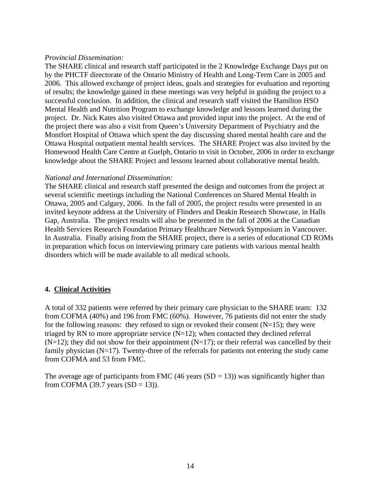#### *Provincial Dissemination:*

The SHARE clinical and research staff participated in the 2 Knowledge Exchange Days put on by the PHCTF directorate of the Ontario Ministry of Health and Long-Term Care in 2005 and 2006. This allowed exchange of project ideas, goals and strategies for evaluation and reporting of results; the knowledge gained in these meetings was very helpful in guiding the project to a successful conclusion. In addition, the clinical and research staff visited the Hamilton HSO Mental Health and Nutrition Program to exchange knowledge and lessons learned during the project. Dr. Nick Kates also visited Ottawa and provided input into the project. At the end of the project there was also a visit from Queen's University Department of Psychiatry and the Montfort Hospital of Ottawa which spent the day discussing shared mental health care and the Ottawa Hospital outpatient mental health services. The SHARE Project was also invited by the Homewood Health Care Centre at Guelph, Ontario to visit in October, 2006 in order to exchange knowledge about the SHARE Project and lessons learned about collaborative mental health.

#### *National and International Dissemination:*

The SHARE clinical and research staff presented the design and outcomes from the project at several scientific meetings including the National Conferences on Shared Mental Health in Ottawa, 2005 and Calgary, 2006. In the fall of 2005, the project results were presented in an invited keynote address at the University of Flinders and Deakin Research Showcase, in Halls Gap, Australia. The project results will also be presented in the fall of 2006 at the Canadian Health Services Research Foundation Primary Healthcare Network Symposium in Vancouver. In Australia. Finally arising from the SHARE project, there is a series of educational CD ROMs in preparation which focus on interviewing primary care patients with various mental health disorders which will be made available to all medical schools.

#### **4. Clinical Activities**

A total of 332 patients were referred by their primary care physician to the SHARE team: 132 from COFMA (40%) and 196 from FMC (60%). However, 76 patients did not enter the study for the following reasons: they refused to sign or revoked their consent  $(N=15)$ ; they were triaged by RN to more appropriate service  $(N=12)$ ; when contacted they declined referral  $(N=12)$ ; they did not show for their appointment  $(N=17)$ ; or their referral was cancelled by their family physician  $(N=17)$ . Twenty-three of the referrals for patients not entering the study came from COFMA and 53 from FMC.

The average age of participants from FMC (46 years  $(SD = 13)$ ) was significantly higher than from COFMA (39.7 years  $(SD = 13)$ ).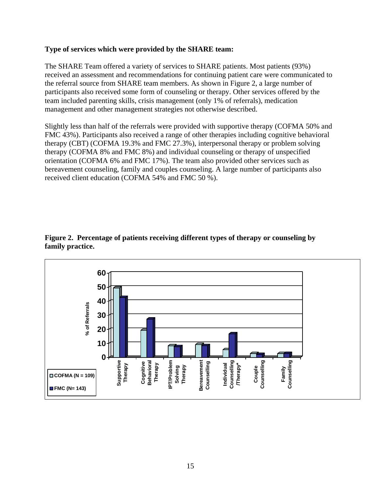#### **Type of services which were provided by the SHARE team:**

The SHARE Team offered a variety of services to SHARE patients. Most patients (93%) received an assessment and recommendations for continuing patient care were communicated to the referral source from SHARE team members. As shown in Figure 2, a large number of participants also received some form of counseling or therapy. Other services offered by the team included parenting skills, crisis management (only 1% of referrals), medication management and other management strategies not otherwise described.

Slightly less than half of the referrals were provided with supportive therapy (COFMA 50% and FMC 43%). Participants also received a range of other therapies including cognitive behavioral therapy (CBT) (COFMA 19.3% and FMC 27.3%), interpersonal therapy or problem solving therapy (COFMA 8% and FMC 8%) and individual counseling or therapy of unspecified orientation (COFMA 6% and FMC 17%). The team also provided other services such as bereavement counseling, family and couples counseling. A large number of participants also received client education (COFMA 54% and FMC 50 %).



#### **Figure 2. Percentage of patients receiving different types of therapy or counseling by family practice.**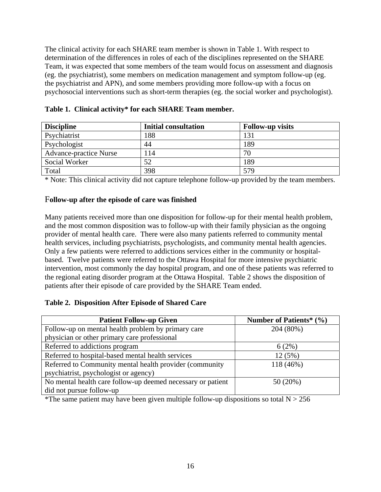The clinical activity for each SHARE team member is shown in Table 1. With respect to determination of the differences in roles of each of the disciplines represented on the SHARE Team, it was expected that some members of the team would focus on assessment and diagnosis (eg. the psychiatrist), some members on medication management and symptom follow-up (eg. the psychiatrist and APN), and some members providing more follow-up with a focus on psychosocial interventions such as short-term therapies (eg. the social worker and psychologist).

| <b>Discipline</b>             | <b>Initial consultation</b> | <b>Follow-up visits</b> |
|-------------------------------|-----------------------------|-------------------------|
| Psychiatrist                  | 188                         | 131                     |
| Psychologist                  | 44                          | 189                     |
| <b>Advance-practice Nurse</b> | 114                         | 70                      |
| Social Worker                 | 52                          | 189                     |
| Total                         | 398                         | 579                     |

**Table 1. Clinical activity\* for each SHARE Team member.** 

\* Note: This clinical activity did not capture telephone follow-up provided by the team members.

#### F**ollow-up after the episode of care was finished**

Many patients received more than one disposition for follow-up for their mental health problem, and the most common disposition was to follow-up with their family physician as the ongoing provider of mental health care. There were also many patients referred to community mental health services, including psychiatrists, psychologists, and community mental health agencies. Only a few patients were referred to addictions services either in the community or hospitalbased. Twelve patients were referred to the Ottawa Hospital for more intensive psychiatric intervention, most commonly the day hospital program, and one of these patients was referred to the regional eating disorder program at the Ottawa Hospital. Table 2 shows the disposition of patients after their episode of care provided by the SHARE Team ended.

#### **Table 2. Disposition After Episode of Shared Care**

| <b>Patient Follow-up Given</b>                              | Number of Patients* (%) |
|-------------------------------------------------------------|-------------------------|
| Follow-up on mental health problem by primary care          | 204 (80%)               |
| physician or other primary care professional                |                         |
| Referred to addictions program                              | 6(2%)                   |
| Referred to hospital-based mental health services           | 12(5%)                  |
| Referred to Community mental health provider (community     | 118 (46%)               |
| psychiatrist, psychologist or agency)                       |                         |
| No mental health care follow-up deemed necessary or patient | 50 (20%)                |
| did not pursue follow-up                                    |                         |

\*The same patient may have been given multiple follow-up dispositions so total  $N > 256$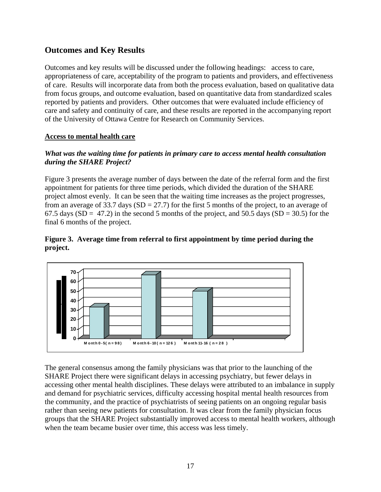## **Outcomes and Key Results**

Outcomes and key results will be discussed under the following headings: access to care, appropriateness of care, acceptability of the program to patients and providers, and effectiveness of care. Results will incorporate data from both the process evaluation, based on qualitative data from focus groups, and outcome evaluation, based on quantitative data from standardized scales reported by patients and providers. Other outcomes that were evaluated include efficiency of care and safety and continuity of care, and these results are reported in the accompanying report of the University of Ottawa Centre for Research on Community Services.

#### **Access to mental health care**

#### *What was the waiting time for patients in primary care to access mental health consultation during the SHARE Project?*

Figure 3 presents the average number of days between the date of the referral form and the first appointment for patients for three time periods, which divided the duration of the SHARE project almost evenly. It can be seen that the waiting time increases as the project progresses, from an average of 33.7 days  $(SD = 27.7)$  for the first 5 months of the project, to an average of 67.5 days (SD = 47.2) in the second 5 months of the project, and 50.5 days (SD = 30.5) for the final 6 months of the project.

#### **Figure 3. Average time from referral to first appointment by time period during the project.**



The general consensus among the family physicians was that prior to the launching of the SHARE Project there were significant delays in accessing psychiatry, but fewer delays in accessing other mental health disciplines. These delays were attributed to an imbalance in supply and demand for psychiatric services, difficulty accessing hospital mental health resources from the community, and the practice of psychiatrists of seeing patients on an ongoing regular basis rather than seeing new patients for consultation. It was clear from the family physician focus groups that the SHARE Project substantially improved access to mental health workers, although when the team became busier over time, this access was less timely.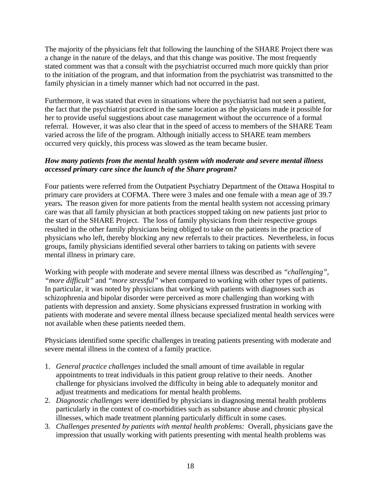The majority of the physicians felt that following the launching of the SHARE Project there was a change in the nature of the delays, and that this change was positive. The most frequently stated comment was that a consult with the psychiatrist occurred much more quickly than prior to the initiation of the program, and that information from the psychiatrist was transmitted to the family physician in a timely manner which had not occurred in the past.

Furthermore, it was stated that even in situations where the psychiatrist had not seen a patient, the fact that the psychiatrist practiced in the same location as the physicians made it possible for her to provide useful suggestions about case management without the occurrence of a formal referral. However, it was also clear that in the speed of access to members of the SHARE Team varied across the life of the program. Although initially access to SHARE team members occurred very quickly, this process was slowed as the team became busier.

#### *How many patients from the mental health system with moderate and severe mental illness accessed primary care since the launch of the Share program?*

Four patients were referred from the Outpatient Psychiatry Department of the Ottawa Hospital to primary care providers at COFMA. There were 3 males and one female with a mean age of 39.7 years**.** The reason given for more patients from the mental health system not accessing primary care was that all family physician at both practices stopped taking on new patients just prior to the start of the SHARE Project. The loss of family physicians from their respective groups resulted in the other family physicians being obliged to take on the patients in the practice of physicians who left, thereby blocking any new referrals to their practices. Nevertheless, in focus groups, family physicians identified several other barriers to taking on patients with severe mental illness in primary care.

Working with people with moderate and severe mental illness was described as *"challenging"*, *"more difficult"* and *"more stressful"* when compared to working with other types of patients. In particular, it was noted by physicians that working with patients with diagnoses such as schizophrenia and bipolar disorder were perceived as more challenging than working with patients with depression and anxiety. Some physicians expressed frustration in working with patients with moderate and severe mental illness because specialized mental health services were not available when these patients needed them.

Physicians identified some specific challenges in treating patients presenting with moderate and severe mental illness in the context of a family practice.

- 1. *General practice challenges* included the small amount of time available in regular appointments to treat individuals in this patient group relative to their needs. Another challenge for physicians involved the difficulty in being able to adequately monitor and adjust treatments and medications for mental health problems.
- 2. *Diagnostic challenges* were identified by physicians in diagnosing mental health problems particularly in the context of co-morbidities such as substance abuse and chronic physical illnesses, which made treatment planning particularly difficult in some cases.
- 3. *Challenges presented by patients with mental health problems:* Overall, physicians gave the impression that usually working with patients presenting with mental health problems was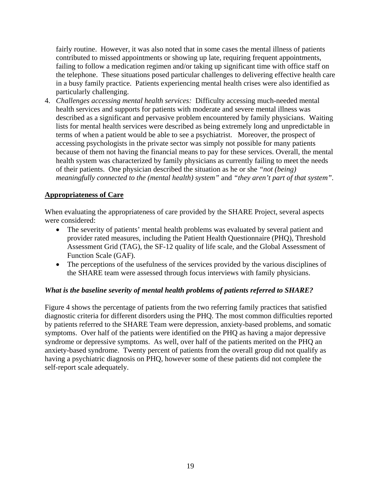fairly routine. However, it was also noted that in some cases the mental illness of patients contributed to missed appointments or showing up late, requiring frequent appointments, failing to follow a medication regimen and/or taking up significant time with office staff on the telephone. These situations posed particular challenges to delivering effective health care in a busy family practice. Patients experiencing mental health crises were also identified as particularly challenging.

4. *Challenges accessing mental health services:* Difficulty accessing much-needed mental health services and supports for patients with moderate and severe mental illness was described as a significant and pervasive problem encountered by family physicians. Waiting lists for mental health services were described as being extremely long and unpredictable in terms of when a patient would be able to see a psychiatrist. Moreover, the prospect of accessing psychologists in the private sector was simply not possible for many patients because of them not having the financial means to pay for these services. Overall, the mental health system was characterized by family physicians as currently failing to meet the needs of their patients. One physician described the situation as he or she *"not (being) meaningfully connected to the (mental health) system"* and *"they aren't part of that system".* 

#### **Appropriateness of Care**

When evaluating the appropriateness of care provided by the SHARE Project, several aspects were considered:

- The severity of patients' mental health problems was evaluated by several patient and provider rated measures, including the Patient Health Questionnaire (PHQ), Threshold Assessment Grid (TAG), the SF-12 quality of life scale, and the Global Assessment of Function Scale (GAF).
- The perceptions of the usefulness of the services provided by the various disciplines of the SHARE team were assessed through focus interviews with family physicians.

#### *What is the baseline severity of mental health problems of patients referred to SHARE?*

Figure 4 shows the percentage of patients from the two referring family practices that satisfied diagnostic criteria for different disorders using the PHQ. The most common difficulties reported by patients referred to the SHARE Team were depression, anxiety-based problems, and somatic symptoms. Over half of the patients were identified on the PHQ as having a major depressive syndrome or depressive symptoms. As well, over half of the patients merited on the PHQ an anxiety-based syndrome. Twenty percent of patients from the overall group did not qualify as having a psychiatric diagnosis on PHQ, however some of these patients did not complete the self-report scale adequately.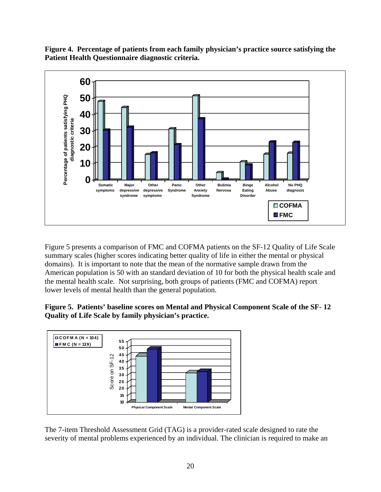**Figure 4. Percentage of patients from each family physician's practice source satisfying the Patient Health Questionnaire diagnostic criteria.** 



Figure 5 presents a comparison of FMC and COFMA patients on the SF-12 Quality of Life Scale summary scales (higher scores indicating better quality of life in either the mental or physical domains). It is important to note that the mean of the normative sample drawn from the American population is 50 with an standard deviation of 10 for both the physical health scale and the mental health scale. Not surprising, both groups of patients (FMC and COFMA) report lower levels of mental health than the general population.

**Figure 5. Patients' baseline scores on Mental and Physical Component Scale of the SF- 12 Quality of Life Scale by family physician's practice.** 



The 7-item Threshold Assessment Grid (TAG) is a provider-rated scale designed to rate the severity of mental problems experienced by an individual. The clinician is required to make an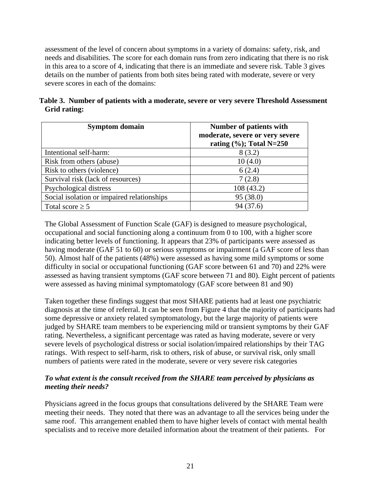assessment of the level of concern about symptoms in a variety of domains: safety, risk, and needs and disabilities. The score for each domain runs from zero indicating that there is no risk in this area to a score of 4, indicating that there is an immediate and severe risk. Table 3 gives details on the number of patients from both sites being rated with moderate, severe or very severe scores in each of the domains:

|              | Table 3. Number of patients with a moderate, severe or very severe Threshold Assessment |  |  |  |
|--------------|-----------------------------------------------------------------------------------------|--|--|--|
| Grid rating: |                                                                                         |  |  |  |

| <b>Symptom domain</b>                      | Number of patients with<br>moderate, severe or very severe<br>rating $(\%);$ Total N=250 |
|--------------------------------------------|------------------------------------------------------------------------------------------|
| Intentional self-harm:                     | 8(3.2)                                                                                   |
| Risk from others (abuse)                   | 10(4.0)                                                                                  |
| Risk to others (violence)                  | 6(2.4)                                                                                   |
| Survival risk (lack of resources)          | 7(2.8)                                                                                   |
| Psychological distress                     | 108(43.2)                                                                                |
| Social isolation or impaired relationships | 95 (38.0)                                                                                |
| Total score $\geq 5$                       | 94(37.6)                                                                                 |

The Global Assessment of Function Scale (GAF) is designed to measure psychological, occupational and social functioning along a continuum from 0 to 100, with a higher score indicating better levels of functioning. It appears that 23% of participants were assessed as having moderate (GAF 51 to 60) or serious symptoms or impairment (a GAF score of less than 50). Almost half of the patients (48%) were assessed as having some mild symptoms or some difficulty in social or occupational functioning (GAF score between 61 and 70) and 22% were assessed as having transient symptoms (GAF score between 71 and 80). Eight percent of patients were assessed as having minimal symptomatology (GAF score between 81 and 90)

Taken together these findings suggest that most SHARE patients had at least one psychiatric diagnosis at the time of referral. It can be seen from Figure 4 that the majority of participants had some depressive or anxiety related symptomatology, but the large majority of patients were judged by SHARE team members to be experiencing mild or transient symptoms by their GAF rating. Nevertheless, a significant percentage was rated as having moderate, severe or very severe levels of psychological distress or social isolation/impaired relationships by their TAG ratings. With respect to self-harm, risk to others, risk of abuse, or survival risk, only small numbers of patients were rated in the moderate, severe or very severe risk categories

### *To what extent is the consult received from the SHARE team perceived by physicians as meeting their needs?*

Physicians agreed in the focus groups that consultations delivered by the SHARE Team were meeting their needs. They noted that there was an advantage to all the services being under the same roof. This arrangement enabled them to have higher levels of contact with mental health specialists and to receive more detailed information about the treatment of their patients. For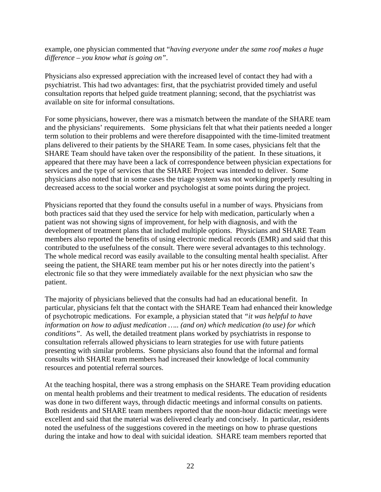example, one physician commented that "*having everyone under the same roof makes a huge difference – you know what is going on"*.

Physicians also expressed appreciation with the increased level of contact they had with a psychiatrist. This had two advantages: first, that the psychiatrist provided timely and useful consultation reports that helped guide treatment planning; second, that the psychiatrist was available on site for informal consultations.

For some physicians, however, there was a mismatch between the mandate of the SHARE team and the physicians' requirements. Some physicians felt that what their patients needed a longer term solution to their problems and were therefore disappointed with the time-limited treatment plans delivered to their patients by the SHARE Team. In some cases, physicians felt that the SHARE Team should have taken over the responsibility of the patient. In these situations, it appeared that there may have been a lack of correspondence between physician expectations for services and the type of services that the SHARE Project was intended to deliver. Some physicians also noted that in some cases the triage system was not working properly resulting in decreased access to the social worker and psychologist at some points during the project.

Physicians reported that they found the consults useful in a number of ways. Physicians from both practices said that they used the service for help with medication, particularly when a patient was not showing signs of improvement, for help with diagnosis, and with the development of treatment plans that included multiple options. Physicians and SHARE Team members also reported the benefits of using electronic medical records (EMR) and said that this contributed to the usefulness of the consult. There were several advantages to this technology. The whole medical record was easily available to the consulting mental health specialist. After seeing the patient, the SHARE team member put his or her notes directly into the patient's electronic file so that they were immediately available for the next physician who saw the patient.

The majority of physicians believed that the consults had had an educational benefit. In particular, physicians felt that the contact with the SHARE Team had enhanced their knowledge of psychotropic medications. For example, a physician stated that *"it was helpful to have information on how to adjust medication ….. (and on) which medication (to use) for which conditions"*. As well, the detailed treatment plans worked by psychiatrists in response to consultation referrals allowed physicians to learn strategies for use with future patients presenting with similar problems. Some physicians also found that the informal and formal consults with SHARE team members had increased their knowledge of local community resources and potential referral sources.

At the teaching hospital, there was a strong emphasis on the SHARE Team providing education on mental health problems and their treatment to medical residents. The education of residents was done in two different ways, through didactic meetings and informal consults on patients. Both residents and SHARE team members reported that the noon-hour didactic meetings were excellent and said that the material was delivered clearly and concisely. In particular, residents noted the usefulness of the suggestions covered in the meetings on how to phrase questions during the intake and how to deal with suicidal ideation. SHARE team members reported that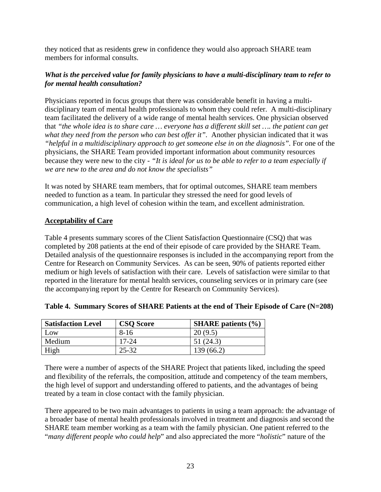they noticed that as residents grew in confidence they would also approach SHARE team members for informal consults.

#### *What is the perceived value for family physicians to have a multi-disciplinary team to refer to for mental health consultation?*

Physicians reported in focus groups that there was considerable benefit in having a multidisciplinary team of mental health professionals to whom they could refer. A multi-disciplinary team facilitated the delivery of a wide range of mental health services. One physician observed that *"the whole idea is to share care … everyone has a different skill set …. the patient can get*  what they need from the person who can best offer it". Another physician indicated that it was "helpful in a multidisciplinary approach to get someone else in on the diagnosis". For one of the physicians, the SHARE Team provided important information about community resources because they were new to the city - *"It is ideal for us to be able to refer to a team especially if we are new to the area and do not know the specialists"*

It was noted by SHARE team members, that for optimal outcomes, SHARE team members needed to function as a team. In particular they stressed the need for good levels of communication, a high level of cohesion within the team, and excellent administration.

#### **Acceptability of Care**

Table 4 presents summary scores of the Client Satisfaction Questionnaire (CSQ) that was completed by 208 patients at the end of their episode of care provided by the SHARE Team. Detailed analysis of the questionnaire responses is included in the accompanying report from the Centre for Research on Community Services. As can be seen, 90% of patients reported either medium or high levels of satisfaction with their care. Levels of satisfaction were similar to that reported in the literature for mental health services, counseling services or in primary care (see the accompanying report by the Centre for Research on Community Services).

| <b>Satisfaction Level</b> | <b>CSO Score</b> | <b>SHARE</b> patients $(\% )$ |
|---------------------------|------------------|-------------------------------|
| Low                       | $8-16$           | 20(9.5)                       |
| Medium                    | $17 - 24$        | 51(24.3)                      |
| High                      | 25-32            | 139 (66.2)                    |

#### **Table 4. Summary Scores of SHARE Patients at the end of Their Episode of Care (N=208)**

There were a number of aspects of the SHARE Project that patients liked, including the speed and flexibility of the referrals, the composition, attitude and competency of the team members, the high level of support and understanding offered to patients, and the advantages of being treated by a team in close contact with the family physician.

There appeared to be two main advantages to patients in using a team approach: the advantage of a broader base of mental health professionals involved in treatment and diagnosis and second the SHARE team member working as a team with the family physician. One patient referred to the "*many different people who could help*" and also appreciated the more "*holistic*" nature of the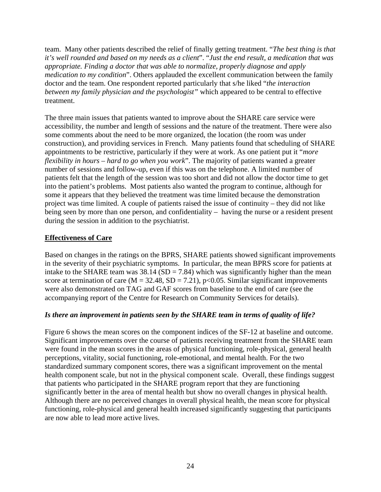team. Many other patients described the relief of finally getting treatment. "*The best thing is that it's well rounded and based on my needs as a client*". "*Just the end result, a medication that was appropriate. Finding a doctor that was able to normalize, properly diagnose and apply medication to my condition*". Others applauded the excellent communication between the family doctor and the team. One respondent reported particularly that s/he liked "*the interaction between my family physician and the psychologist"* which appeared to be central to effective treatment.

The three main issues that patients wanted to improve about the SHARE care service were accessibility, the number and length of sessions and the nature of the treatment. There were also some comments about the need to be more organized, the location (the room was under construction), and providing services in French. Many patients found that scheduling of SHARE appointments to be restrictive, particularly if they were at work. As one patient put it "*more flexibility in hours – hard to go when you work*". The majority of patients wanted a greater number of sessions and follow-up, even if this was on the telephone. A limited number of patients felt that the length of the session was too short and did not allow the doctor time to get into the patient's problems. Most patients also wanted the program to continue, although for some it appears that they believed the treatment was time limited because the demonstration project was time limited. A couple of patients raised the issue of continuity – they did not like being seen by more than one person, and confidentiality – having the nurse or a resident present during the session in addition to the psychiatrist.

### **Effectiveness of Care**

Based on changes in the ratings on the BPRS, SHARE patients showed significant improvements in the severity of their psychiatric symptoms. In particular, the mean BPRS score for patients at intake to the SHARE team was  $38.14$  (SD = 7.84) which was significantly higher than the mean score at termination of care  $(M = 32.48, SD = 7.21)$ , p<0.05. Similar significant improvements were also demonstrated on TAG and GAF scores from baseline to the end of care (see the accompanying report of the Centre for Research on Community Services for details).

#### *Is there an improvement in patients seen by the SHARE team in terms of quality of life?*

Figure 6 shows the mean scores on the component indices of the SF-12 at baseline and outcome. Significant improvements over the course of patients receiving treatment from the SHARE team were found in the mean scores in the areas of physical functioning, role-physical, general health perceptions, vitality, social functioning, role-emotional, and mental health. For the two standardized summary component scores, there was a significant improvement on the mental health component scale, but not in the physical component scale. Overall, these findings suggest that patients who participated in the SHARE program report that they are functioning significantly better in the area of mental health but show no overall changes in physical health. Although there are no perceived changes in overall physical health, the mean score for physical functioning, role-physical and general health increased significantly suggesting that participants are now able to lead more active lives.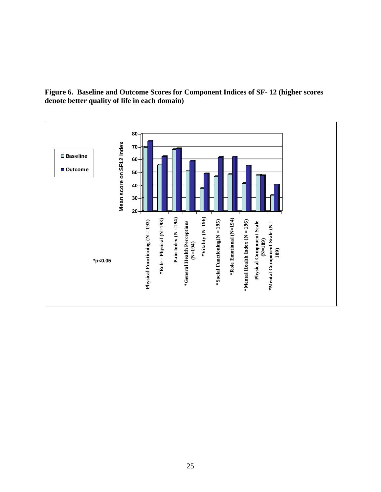

**Figure 6. Baseline and Outcome Scores for Component Indices of SF- 12 (higher scores denote better quality of life in each domain)**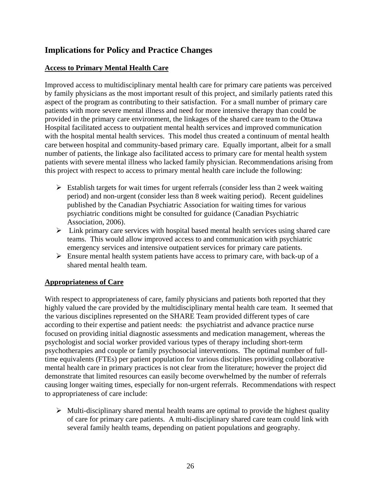# **Implications for Policy and Practice Changes**

### **Access to Primary Mental Health Care**

Improved access to multidisciplinary mental health care for primary care patients was perceived by family physicians as the most important result of this project, and similarly patients rated this aspect of the program as contributing to their satisfaction. For a small number of primary care patients with more severe mental illness and need for more intensive therapy than could be provided in the primary care environment, the linkages of the shared care team to the Ottawa Hospital facilitated access to outpatient mental health services and improved communication with the hospital mental health services. This model thus created a continuum of mental health care between hospital and community-based primary care. Equally important, albeit for a small number of patients, the linkage also facilitated access to primary care for mental health system patients with severe mental illness who lacked family physician. Recommendations arising from this project with respect to access to primary mental health care include the following:

- $\triangleright$  Establish targets for wait times for urgent referrals (consider less than 2 week waiting period) and non-urgent (consider less than 8 week waiting period). Recent guidelines published by the Canadian Psychiatric Association for waiting times for various psychiatric conditions might be consulted for guidance (Canadian Psychiatric Association, 2006).
- $\triangleright$  Link primary care services with hospital based mental health services using shared care teams. This would allow improved access to and communication with psychiatric emergency services and intensive outpatient services for primary care patients.
- $\triangleright$  Ensure mental health system patients have access to primary care, with back-up of a shared mental health team.

#### **Appropriateness of Care**

With respect to appropriateness of care, family physicians and patients both reported that they highly valued the care provided by the multidisciplinary mental health care team. It seemed that the various disciplines represented on the SHARE Team provided different types of care according to their expertise and patient needs: the psychiatrist and advance practice nurse focused on providing initial diagnostic assessments and medication management, whereas the psychologist and social worker provided various types of therapy including short-term psychotherapies and couple or family psychosocial interventions. The optimal number of fulltime equivalents (FTEs) per patient population for various disciplines providing collaborative mental health care in primary practices is not clear from the literature; however the project did demonstrate that limited resources can easily become overwhelmed by the number of referrals causing longer waiting times, especially for non-urgent referrals. Recommendations with respect to appropriateness of care include:

 $\triangleright$  Multi-disciplinary shared mental health teams are optimal to provide the highest quality of care for primary care patients. A multi-disciplinary shared care team could link with several family health teams, depending on patient populations and geography.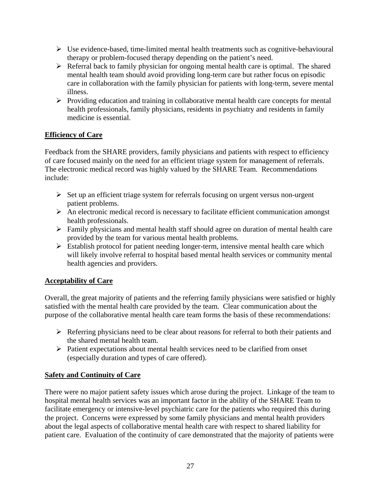- $\triangleright$  Use evidence-based, time-limited mental health treatments such as cognitive-behavioural therapy or problem-focused therapy depending on the patient's need.
- $\triangleright$  Referral back to family physician for ongoing mental health care is optimal. The shared mental health team should avoid providing long-term care but rather focus on episodic care in collaboration with the family physician for patients with long-term, severe mental illness.
- $\triangleright$  Providing education and training in collaborative mental health care concepts for mental health professionals, family physicians, residents in psychiatry and residents in family medicine is essential.

### **Efficiency of Care**

Feedback from the SHARE providers, family physicians and patients with respect to efficiency of care focused mainly on the need for an efficient triage system for management of referrals. The electronic medical record was highly valued by the SHARE Team. Recommendations include:

- $\triangleright$  Set up an efficient triage system for referrals focusing on urgent versus non-urgent patient problems.
- $\triangleright$  An electronic medical record is necessary to facilitate efficient communication amongst health professionals.
- $\triangleright$  Family physicians and mental health staff should agree on duration of mental health care provided by the team for various mental health problems.
- $\triangleright$  Establish protocol for patient needing longer-term, intensive mental health care which will likely involve referral to hospital based mental health services or community mental health agencies and providers.

#### **Acceptability of Care**

Overall, the great majority of patients and the referring family physicians were satisfied or highly satisfied with the mental health care provided by the team. Clear communication about the purpose of the collaborative mental health care team forms the basis of these recommendations:

- $\triangleright$  Referring physicians need to be clear about reasons for referral to both their patients and the shared mental health team.
- $\triangleright$  Patient expectations about mental health services need to be clarified from onset (especially duration and types of care offered).

#### **Safety and Continuity of Care**

There were no major patient safety issues which arose during the project. Linkage of the team to hospital mental health services was an important factor in the ability of the SHARE Team to facilitate emergency or intensive-level psychiatric care for the patients who required this during the project. Concerns were expressed by some family physicians and mental health providers about the legal aspects of collaborative mental health care with respect to shared liability for patient care. Evaluation of the continuity of care demonstrated that the majority of patients were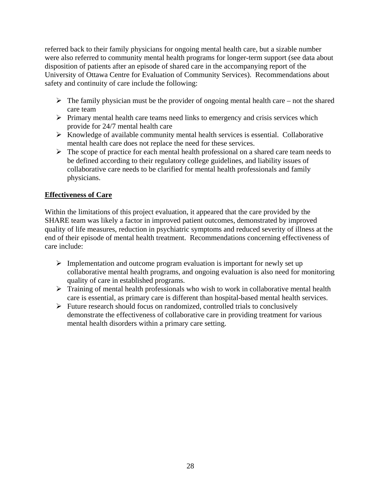referred back to their family physicians for ongoing mental health care, but a sizable number were also referred to community mental health programs for longer-term support (see data about disposition of patients after an episode of shared care in the accompanying report of the University of Ottawa Centre for Evaluation of Community Services). Recommendations about safety and continuity of care include the following:

- $\triangleright$  The family physician must be the provider of ongoing mental health care not the shared care team
- $\triangleright$  Primary mental health care teams need links to emergency and crisis services which provide for 24/7 mental health care
- $\triangleright$  Knowledge of available community mental health services is essential. Collaborative mental health care does not replace the need for these services.
- $\triangleright$  The scope of practice for each mental health professional on a shared care team needs to be defined according to their regulatory college guidelines, and liability issues of collaborative care needs to be clarified for mental health professionals and family physicians.

### **Effectiveness of Care**

Within the limitations of this project evaluation, it appeared that the care provided by the SHARE team was likely a factor in improved patient outcomes, demonstrated by improved quality of life measures, reduction in psychiatric symptoms and reduced severity of illness at the end of their episode of mental health treatment. Recommendations concerning effectiveness of care include:

- $\triangleright$  Implementation and outcome program evaluation is important for newly set up collaborative mental health programs, and ongoing evaluation is also need for monitoring quality of care in established programs.
- $\triangleright$  Training of mental health professionals who wish to work in collaborative mental health care is essential, as primary care is different than hospital-based mental health services.
- $\triangleright$  Future research should focus on randomized, controlled trials to conclusively demonstrate the effectiveness of collaborative care in providing treatment for various mental health disorders within a primary care setting.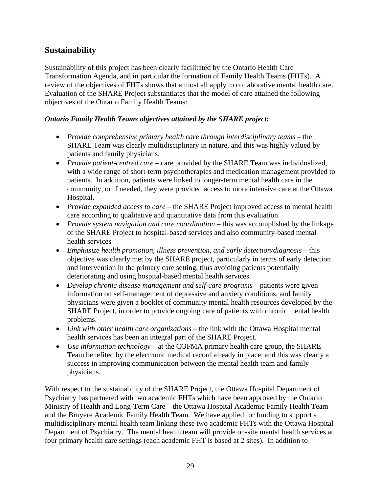## **Sustainability**

Sustainability of this project has been clearly facilitated by the Ontario Health Care Transformation Agenda, and in particular the formation of Family Health Teams (FHTs). A review of the objectives of FHTs shows that almost all apply to collaborative mental health care. Evaluation of the SHARE Project substantiates that the model of care attained the following objectives of the Ontario Family Health Teams:

### *Ontario Family Health Teams objectives attained by the SHARE project:*

- *Provide comprehensive primary health care through interdisciplinary teams* the SHARE Team was clearly multidisciplinary in nature, and this was highly valued by patients and family physicians.
- *Provide patient-centred care* care provided by the SHARE Team was individualized, with a wide range of short-term psychotherapies and medication management provided to patients. In addition, patients were linked to longer-term mental health care in the community, or if needed, they were provided access to more intensive care at the Ottawa Hospital.
- *Provide expanded access to care* the SHARE Project improved access to mental health care according to qualitative and quantitative data from this evaluation.
- *Provide system navigation and care coordination* this was accomplished by the linkage of the SHARE Project to hospital-based services and also community-based mental health services
- *Emphasize health promotion, illness prevention, and early detection/diagnosis* this objective was clearly met by the SHARE project, particularly in terms of early detection and intervention in the primary care setting, thus avoiding patients potentially deteriorating and using hospital-based mental health services.
- *Develop chronic disease management and self-care programs* patients were given information on self-management of depressive and anxiety conditions, and family physicians were given a booklet of community mental health resources developed by the SHARE Project, in order to provide ongoing care of patients with chronic mental health problems.
- *Link with other health care organizations* the link with the Ottawa Hospital mental health services has been an integral part of the SHARE Project.
- *Use information technology* at the COFMA primary health care group, the SHARE Team benefited by the electronic medical record already in place, and this was clearly a success in improving communication between the mental health team and family physicians.

With respect to the sustainability of the SHARE Project, the Ottawa Hospital Department of Psychiatry has partnered with two academic FHTs which have been approved by the Ontario Ministry of Health and Long-Term Care – the Ottawa Hospital Academic Family Health Team and the Bruyere Academic Family Health Team. We have applied for funding to support a multidisciplinary mental health team linking these two academic FHTs with the Ottawa Hospital Department of Psychiatry. The mental health team will provide on-site mental health services at four primary health care settings (each academic FHT is based at 2 sites). In addition to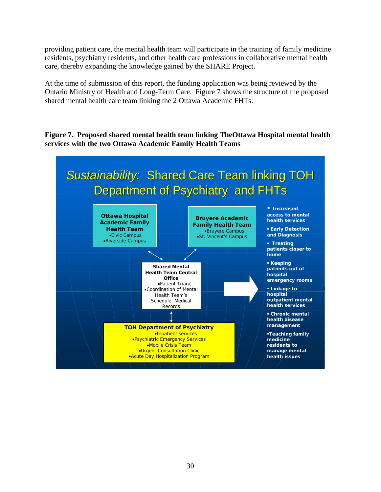providing patient care, the mental health team will participate in the training of family medicine residents, psychiatry residents, and other health care professions in collaborative mental health care, thereby expanding the knowledge gained by the SHARE Project.

At the time of submission of this report, the funding application was being reviewed by the Ontario Ministry of Health and Long-Term Care. Figure 7 shows the structure of the proposed shared mental health care team linking the 2 Ottawa Academic FHTs.

**Figure 7. Proposed shared mental health team linking TheOttawa Hospital mental health services with the two Ottawa Academic Family Health Teams** 

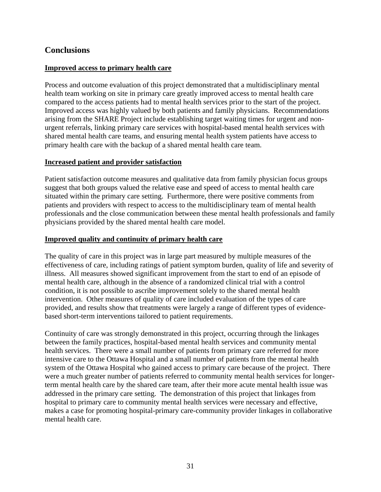### **Conclusions**

#### **Improved access to primary health care**

Process and outcome evaluation of this project demonstrated that a multidisciplinary mental health team working on site in primary care greatly improved access to mental health care compared to the access patients had to mental health services prior to the start of the project. Improved access was highly valued by both patients and family physicians. Recommendations arising from the SHARE Project include establishing target waiting times for urgent and nonurgent referrals, linking primary care services with hospital-based mental health services with shared mental health care teams, and ensuring mental health system patients have access to primary health care with the backup of a shared mental health care team.

#### **Increased patient and provider satisfaction**

Patient satisfaction outcome measures and qualitative data from family physician focus groups suggest that both groups valued the relative ease and speed of access to mental health care situated within the primary care setting. Furthermore, there were positive comments from patients and providers with respect to access to the multidisciplinary team of mental health professionals and the close communication between these mental health professionals and family physicians provided by the shared mental health care model.

#### **Improved quality and continuity of primary health care**

The quality of care in this project was in large part measured by multiple measures of the effectiveness of care, including ratings of patient symptom burden, quality of life and severity of illness. All measures showed significant improvement from the start to end of an episode of mental health care, although in the absence of a randomized clinical trial with a control condition, it is not possible to ascribe improvement solely to the shared mental health intervention. Other measures of quality of care included evaluation of the types of care provided, and results show that treatments were largely a range of different types of evidencebased short-term interventions tailored to patient requirements.

Continuity of care was strongly demonstrated in this project, occurring through the linkages between the family practices, hospital-based mental health services and community mental health services. There were a small number of patients from primary care referred for more intensive care to the Ottawa Hospital and a small number of patients from the mental health system of the Ottawa Hospital who gained access to primary care because of the project. There were a much greater number of patients referred to community mental health services for longerterm mental health care by the shared care team, after their more acute mental health issue was addressed in the primary care setting. The demonstration of this project that linkages from hospital to primary care to community mental health services were necessary and effective, makes a case for promoting hospital-primary care-community provider linkages in collaborative mental health care.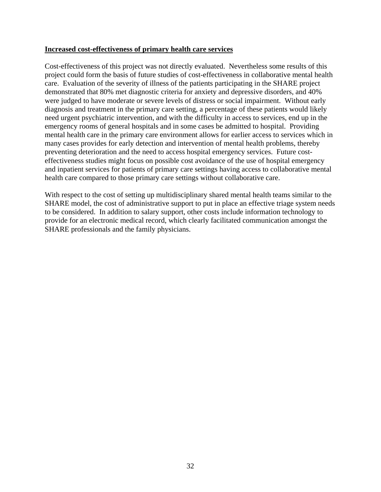#### **Increased cost-effectiveness of primary health care services**

Cost-effectiveness of this project was not directly evaluated. Nevertheless some results of this project could form the basis of future studies of cost-effectiveness in collaborative mental health care. Evaluation of the severity of illness of the patients participating in the SHARE project demonstrated that 80% met diagnostic criteria for anxiety and depressive disorders, and 40% were judged to have moderate or severe levels of distress or social impairment. Without early diagnosis and treatment in the primary care setting, a percentage of these patients would likely need urgent psychiatric intervention, and with the difficulty in access to services, end up in the emergency rooms of general hospitals and in some cases be admitted to hospital. Providing mental health care in the primary care environment allows for earlier access to services which in many cases provides for early detection and intervention of mental health problems, thereby preventing deterioration and the need to access hospital emergency services. Future costeffectiveness studies might focus on possible cost avoidance of the use of hospital emergency and inpatient services for patients of primary care settings having access to collaborative mental health care compared to those primary care settings without collaborative care.

With respect to the cost of setting up multidisciplinary shared mental health teams similar to the SHARE model, the cost of administrative support to put in place an effective triage system needs to be considered. In addition to salary support, other costs include information technology to provide for an electronic medical record, which clearly facilitated communication amongst the SHARE professionals and the family physicians.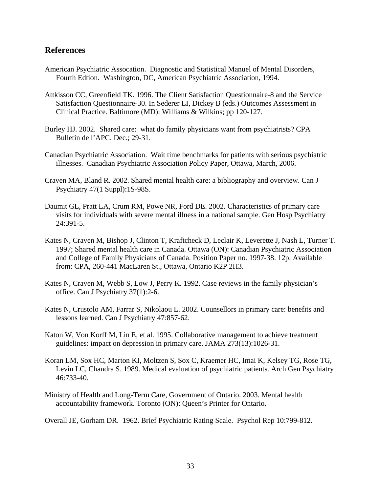#### **References**

- American Psychiatric Assocation. Diagnostic and Statistical Manuel of Mental Disorders, Fourth Edtion. Washington, DC, American Psychiatric Association, 1994.
- Attkisson CC, Greenfield TK. 1996. The Client Satisfaction Questionnaire-8 and the Service Satisfaction Questionnaire-30. In Sederer LI, Dickey B (eds.) Outcomes Assessment in Clinical Practice. Baltimore (MD): Williams & Wilkins; pp 120-127.
- Burley HJ. 2002. Shared care: what do family physicians want from psychiatrists? CPA Bulletin de l'APC. Dec.; 29-31.
- Canadian Psychiatric Association. Wait time benchmarks for patients with serious psychiatric illnesses. Canadian Psychiatric Association Policy Paper, Ottawa, March, 2006.
- Craven MA, Bland R. 2002. Shared mental health care: a bibliography and overview. Can J Psychiatry 47(1 Suppl):1S-98S.
- Daumit GL, Pratt LA, Crum RM, Powe NR, Ford DE. 2002. Characteristics of primary care visits for individuals with severe mental illness in a national sample. Gen Hosp Psychiatry 24:391-5.
- Kates N, Craven M, Bishop J, Clinton T, Kraftcheck D, Leclair K, Leverette J, Nash L, Turner T. 1997; Shared mental health care in Canada. Ottawa (ON): Canadian Psychiatric Association and College of Family Physicians of Canada. Position Paper no. 1997-38. 12p. Available from: CPA, 260-441 MacLaren St., Ottawa, Ontario K2P 2H3.
- Kates N, Craven M, Webb S, Low J, Perry K. 1992. Case reviews in the family physician's office. Can J Psychiatry 37(1):2-6.
- Kates N, Crustolo AM, Farrar S, Nikolaou L. 2002. Counsellors in primary care: benefits and lessons learned. Can J Psychiatry 47:857-62.
- Katon W, Von Korff M, Lin E, et al. 1995. Collaborative management to achieve treatment guidelines: impact on depression in primary care. JAMA 273(13):1026-31.
- Koran LM, Sox HC, Marton KI, Moltzen S, Sox C, Kraemer HC, Imai K, Kelsey TG, Rose TG, Levin LC, Chandra S. 1989. Medical evaluation of psychiatric patients. Arch Gen Psychiatry 46:733-40.
- Ministry of Health and Long-Term Care, Government of Ontario. 2003. Mental health accountability framework. Toronto (ON): Queen's Printer for Ontario.
- Overall JE, Gorham DR. 1962. Brief Psychiatric Rating Scale. Psychol Rep 10:799-812.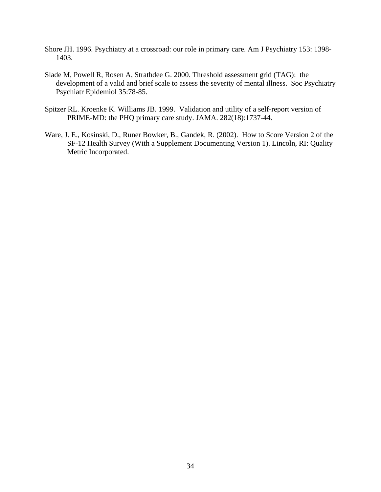- Shore JH. 1996. Psychiatry at a crossroad: our role in primary care. Am J Psychiatry 153: 1398- 1403.
- Slade M, Powell R, Rosen A, Strathdee G. 2000. Threshold assessment grid (TAG): the development of a valid and brief scale to assess the severity of mental illness. Soc Psychiatry Psychiatr Epidemiol 35:78-85.
- Spitzer RL. Kroenke K. Williams JB. 1999. Validation and utility of a self-report version of PRIME-MD: the PHQ primary care study. JAMA. 282(18):1737-44.
- Ware, J. E., Kosinski, D., Runer Bowker, B., Gandek, R. (2002). How to Score Version 2 of the SF-12 Health Survey (With a Supplement Documenting Version 1). Lincoln, RI: Quality Metric Incorporated.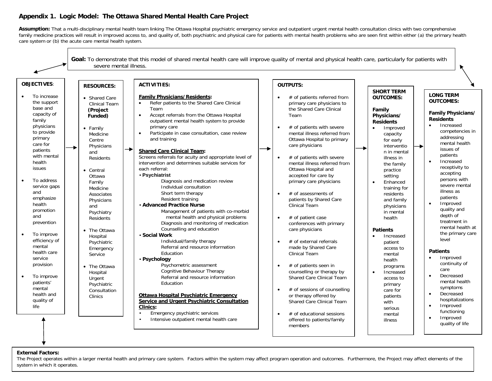#### **Appendix 1. Logic Model: The Ottawa Shared Mental Health Care Project**

Assumption: That a multi-disciplinary mental health team linking The Ottawa Hospital psychiatric emergency service and outpatient urgent mental health consultation clinics with two comprehensive family medicine practices will result in improved access to, and quality of, both psychiatric and physical care for patients with mental health problems who are seen first within either (a) the primary health care system or (b) the acute care mental health system.



#### **External Factors:**

External Factors:<br>The Project operates within a larger mental health and primary care system. Factors within the system may affect program operation and outcomes. Furthermore, the Project may affect elements of the system in which it operates.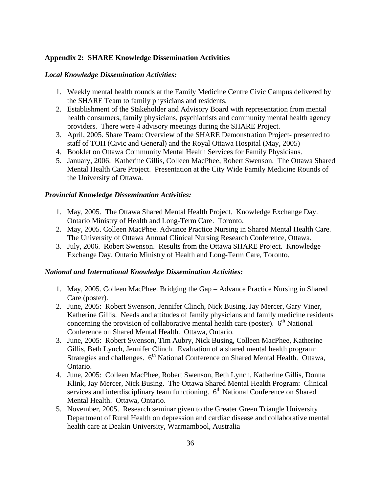#### **Appendix 2: SHARE Knowledge Dissemination Activities**

#### *Local Knowledge Dissemination Activities:*

- 1. Weekly mental health rounds at the Family Medicine Centre Civic Campus delivered by the SHARE Team to family physicians and residents.
- 2. Establishment of the Stakeholder and Advisory Board with representation from mental health consumers, family physicians, psychiatrists and community mental health agency providers. There were 4 advisory meetings during the SHARE Project.
- 3. April, 2005. Share Team: Overview of the SHARE Demonstration Project- presented to staff of TOH (Civic and General) and the Royal Ottawa Hospital (May, 2005)
- 4. Booklet on Ottawa Community Mental Health Services for Family Physicians.
- 5. January, 2006. Katherine Gillis, Colleen MacPhee, Robert Swenson. The Ottawa Shared Mental Health Care Project. Presentation at the City Wide Family Medicine Rounds of the University of Ottawa.

#### *Provincial Knowledge Dissemination Activities:*

- 1. May, 2005. The Ottawa Shared Mental Health Project. Knowledge Exchange Day. Ontario Ministry of Health and Long-Term Care. Toronto.
- 2. May, 2005. Colleen MacPhee. Advance Practice Nursing in Shared Mental Health Care. The University of Ottawa Annual Clinical Nursing Research Conference, Ottawa.
- 3. July, 2006. Robert Swenson. Results from the Ottawa SHARE Project. Knowledge Exchange Day, Ontario Ministry of Health and Long-Term Care, Toronto.

#### *National and International Knowledge Dissemination Activities:*

- 1. May, 2005. Colleen MacPhee. Bridging the Gap Advance Practice Nursing in Shared Care (poster).
- 2. June, 2005: Robert Swenson, Jennifer Clinch, Nick Busing, Jay Mercer, Gary Viner, Katherine Gillis. Needs and attitudes of family physicians and family medicine residents concerning the provision of collaborative mental health care (poster).  $6<sup>th</sup>$  National Conference on Shared Mental Health. Ottawa, Ontario.
- 3. June, 2005: Robert Swenson, Tim Aubry, Nick Busing, Colleen MacPhee, Katherine Gillis, Beth Lynch, Jennifer Clinch. Evaluation of a shared mental health program: Strategies and challenges. 6<sup>th</sup> National Conference on Shared Mental Health. Ottawa, Ontario.
- 4. June, 2005: Colleen MacPhee, Robert Swenson, Beth Lynch, Katherine Gillis, Donna Klink, Jay Mercer, Nick Busing. The Ottawa Shared Mental Health Program: Clinical services and interdisciplinary team functioning.  $6<sup>th</sup>$  National Conference on Shared Mental Health. Ottawa, Ontario.
- 5. November, 2005. Research seminar given to the Greater Green Triangle University Department of Rural Health on depression and cardiac disease and collaborative mental health care at Deakin University, Warrnambool, Australia